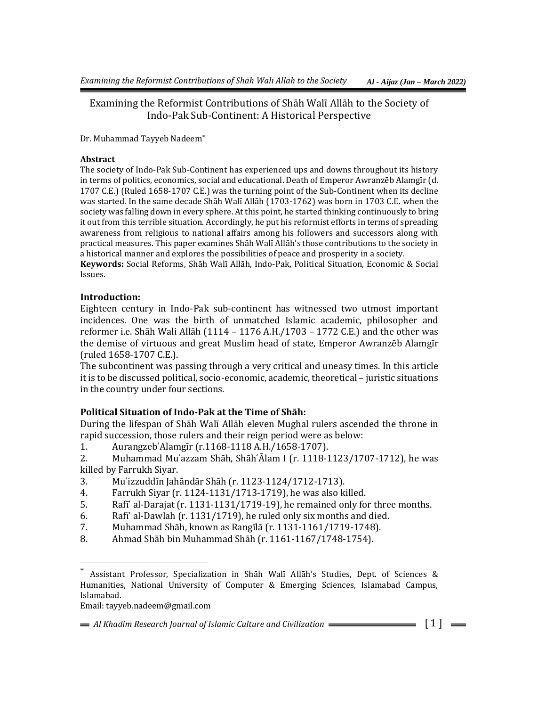## Examining the Reformist Contributions of Shāh Walī Allāh to the Society of Indo-Pak Sub-Continent: A Historical Perspective

Dr. Muhammad Tayyeb Nadeem\*

#### **Abstract**

The society of Indo-Pak Sub-Continent has experienced ups and downs throughout its history in terms of politics, economics, social and educational. Death of Emperor Awranzēb Alamgīr (d. 1707 C.E.) (Ruled 1658-1707 C.E.) was the turning point of the Sub-Continent when its decline was started. In the same decade Shāh Walī Allāh (1703-1762) was born in 1703 C.E. when the society was falling down in every sphere. At this point, he started thinking continuously to bring it out from this terrible situation. Accordingly, he put his reformist efforts in terms of spreading awareness from religious to national affairs among his followers and successors along with practical measures. This paper examines Shāh Walī Allāh's those contributions to the society in a historical manner and explores the possibilities of peace and prosperity in a society.

**Keywords:** Social Reforms, Shāh Walī Allāh, Indo-Pak, Political Situation, Economic & Social Issues.

## **Introduction:**

Eighteen century in Indo-Pak sub-continent has witnessed two utmost important incidences. One was the birth of unmatched Islamic academic, philosopher and reformer i.e. Shāh Wali Allāh (1114 – 1176 A.H./1703 – 1772 C.E.) and the other was the demise of virtuous and great Muslim head of state, Emperor Awranzēb Alamgīr (ruled 1658-1707 C.E.).

The subcontinent was passing through a very critical and uneasy times. In this article it is to be discussed political, socio-economic, academic, theoretical – juristic situations in the country under four sections.

## **Political Situation of Indo-Pak at the Time of Shāh:**

During the lifespan of Shāh Walī Allāh eleven Mughal rulers ascended the throne in rapid succession, those rulers and their reign period were as below:

1. Aurangzeb ̒Alamgīr (r.1168-1118 A.H./1658-1707).

2. Muhammad Mu'azzam Shāh, Shāh'Ālam I (r. 1118-1123/1707-1712), he was killed by Farrukh Siyar.

3. Mu ̒izzuddīn Jahāndār Shāh (r. 1123-1124/1712-1713).

- 4. Farrukh Siyar (r. 1124-1131/1713-1719), he was also killed.
- 5. Rafī ̒al-Darajat (r. 1131-1131/1719-19), he remained only for three months.
- 6. Rafi al-Dawlah (r. 1131/1719), he ruled only six months and died.
- 7. Muhammad Shāh, known as Rangīlā (r. 1131-1161/1719-1748).
- 8. Ahmad Shāh bin Muhammad Shāh (r. 1161-1167/1748-1754).

 $\overline{a}$ 

Assistant Professor, Specialization in Shāh Walī Allāh's Studies, Dept. of Sciences & Humanities, National University of Computer & Emerging Sciences, Islamabad Campus, Islamabad.

Email: tayyeb.nadeem@gmail.com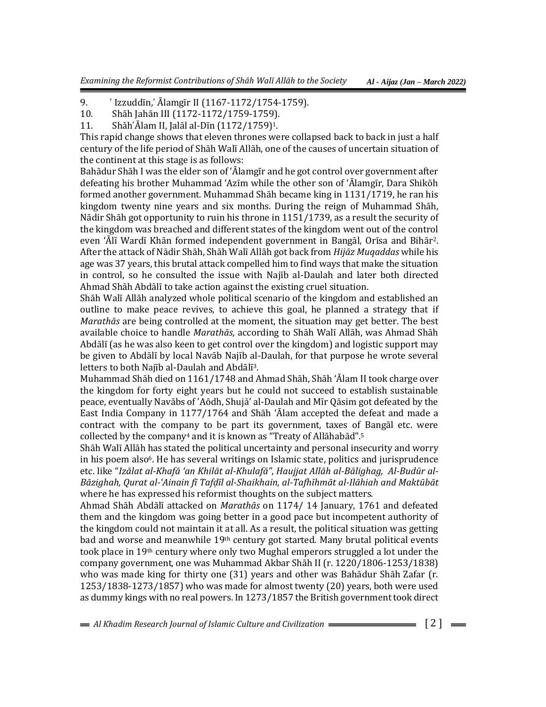- 9. *'Izzuddīn,' Ālamgīr II (1167-1172/1754-1759*).
- 10. Shāh Jahān III (1172-1172/1759-1759).
- 11. Shāh ̒Ālam II, Jalāl al-Dīn (1172/1759)1.

This rapid change shows that eleven thrones were collapsed back to back in just a half century of the life period of Shāh Walī Allāh, one of the causes of uncertain situation of the continent at this stage is as follows:

Bahādur Shāh I was the elder son of 'Ālamgīr and he got control over government after defeating his brother Muhammad 'Azīm while the other son of 'Ālamgīr, Dara Shikōh formed another government. Muhammad Shāh became king in 1131/1719, he ran his kingdom twenty nine years and six months. During the reign of Muhammad Shāh, Nādir Shāh got opportunity to ruin his throne in 1151/1739, as a result the security of the kingdom was breached and different states of the kingdom went out of the control even 'Ālī Wardī Khān formed independent government in Bangāl, Orīsa and Bihār2. After the attack of Nādir Shāh, Shāh Walī Allāh got back from *Hijāz Muqaddas* while his age was 37 years, this brutal attack compelled him to find ways that make the situation in control, so he consulted the issue with Najīb al-Daulah and later both directed Ahmad Shāh Abdālī to take action against the existing cruel situation.

Shāh Walī Allāh analyzed whole political scenario of the kingdom and established an outline to make peace revives, to achieve this goal, he planned a strategy that if *Marathās* are being controlled at the moment, the situation may get better. The best available choice to handle *Marathās*, according to Shāh Walī Allāh, was Ahmad Shāh Abdālī (as he was also keen to get control over the kingdom) and logistic support may be given to Abdālī by local Navāb Najīb al-Daulah, for that purpose he wrote several letters to both Najīb al-Daulah and Abdālī3.

Muhammad Shāh died on 1161/1748 and Ahmad Shāh, Shāh 'Ālam II took charge over the kingdom for forty eight years but he could not succeed to establish sustainable peace, eventually Navābs of 'Aōdh, Shujā' al-Daulah and Mīr Qāsim got defeated by the East India Company in 1177/1764 and Shāh 'Ālam accepted the defeat and made a contract with the company to be part its government, taxes of Bangāl etc. were collected by the company<sup>4</sup> and it is known as "Treaty of Allāhabād".<sup>5</sup>

Shāh Walī Allāh has stated the political uncertainty and personal insecurity and worry in his poem also6. He has several writings on Islamic state, politics and jurisprudence etc. like "*Izālat al-Khafā 'an Khilāt al-Khulafā"*, *Haujjat Allāh al-Bālighag, Al-Budūr al-Bāzighah, Qurat al-'Ainain fī Tafḍīl al-Shaikhain*, *al-Tafhīhmāt al-Ilāhiah and Maktūbāt* where he has expressed his reformist thoughts on the subject matters.

Ahmad Shāh Abdālī attacked on *Marathās* on 1174/ 14 January, 1761 and defeated them and the kingdom was going better in a good pace but incompetent authority of the kingdom could not maintain it at all. As a result, the political situation was getting bad and worse and meanwhile  $19<sup>th</sup>$  century got started. Many brutal political events took place in 19th century where only two Mughal emperors struggled a lot under the company government, one was Muhammad Akbar Shāh II (r. 1220/1806-1253/1838) who was made king for thirty one (31) years and other was Bahādur Shāh Zafar (r. 1253/1838-1273/1857) who was made for almost twenty (20) years, both were used as dummy kings with no real powers. In 1273/1857 the British government took direct

*Al Khadim Research Journal of Islamic Culture and Civilization* [ 2 ]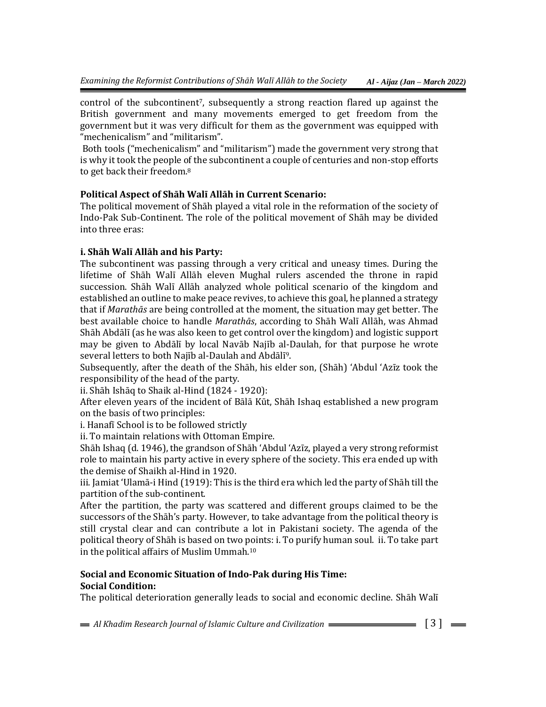control of the subcontinent<sup>7</sup>, subsequently a strong reaction flared up against the British government and many movements emerged to get freedom from the government but it was very difficult for them as the government was equipped with "mechenicalism" and "militarism".

Both tools ("mechenicalism" and "militarism") made the government very strong that is why it took the people of the subcontinent a couple of centuries and non-stop efforts to get back their freedom.<sup>8</sup>

## **Political Aspect of Shāh Walī Allāh in Current Scenario:**

The political movement of Shāh played a vital role in the reformation of the society of Indo-Pak Sub-Continent. The role of the political movement of Shāh may be divided into three eras:

## **i. Shāh Walī Allāh and his Party:**

The subcontinent was passing through a very critical and uneasy times. During the lifetime of Shāh Walī Allāh eleven Mughal rulers ascended the throne in rapid succession. Shāh Walī Allāh analyzed whole political scenario of the kingdom and established an outline to make peace revives, to achieve this goal, he planned a strategy that if *Marathās* are being controlled at the moment, the situation may get better. The best available choice to handle *Marathās*, according to Shāh Walī Allāh, was Ahmad Shāh Abdālī (as he was also keen to get control over the kingdom) and logistic support may be given to Abdālī by local Navāb Najīb al-Daulah, for that purpose he wrote several letters to both Najīb al-Daulah and Abdālī9.

Subsequently, after the death of the Shāh, his elder son, (Shāh) 'Abdul 'Azīz took the responsibility of the head of the party.

ii. Shāh Ishāq to Shaik al-Hind (1824 - 1920):

After eleven years of the incident of Bālā Kūt, Shāh Ishaq established a new program on the basis of two principles:

i. Hanafī School is to be followed strictly

ii. To maintain relations with Ottoman Empire.

Shāh Ishaq (d. 1946), the grandson of Shāh 'Abdul 'Azīz, played a very strong reformist role to maintain his party active in every sphere of the society. This era ended up with the demise of Shaikh al-Hind in 1920.

iii. Jamiat 'Ulamā-i Hind (1919): This is the third era which led the party of Shāh till the partition of the sub-continent.

After the partition, the party was scattered and different groups claimed to be the successors of the Shāh's party. However, to take advantage from the political theory is still crystal clear and can contribute a lot in Pakistani society. The agenda of the political theory of Shāh is based on two points: i. To purify human soul. ii. To take part in the political affairs of Muslim Ummah.<sup>10</sup>

## **Social and Economic Situation of Indo-Pak during His Time: Social Condition:**

The political deterioration generally leads to social and economic decline. Shāh Walī

 $=$  Al Khadim Research Journal of Islamic Culture and Civilization  $=$   $\qquad \qquad$   $[3] =$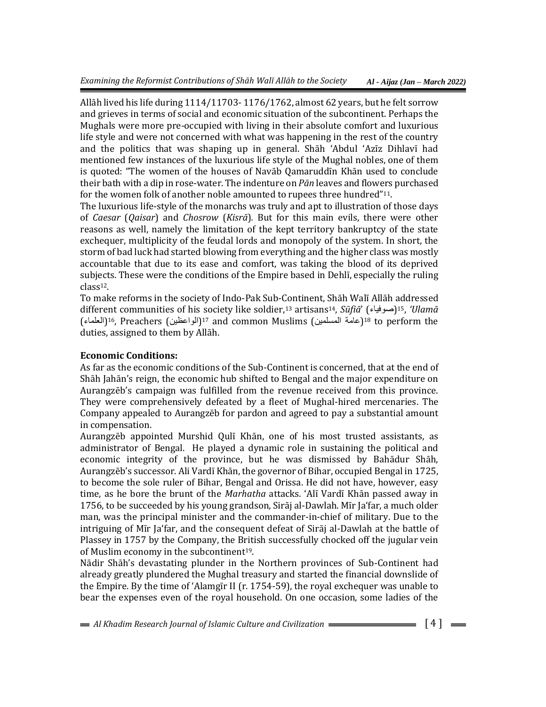Allāh lived his life during 1114/11703- 1176/1762, almost 62 years, but he felt sorrow and grieves in terms of social and economic situation of the subcontinent. Perhaps the Mughals were more pre-occupied with living in their absolute comfort and luxurious life style and were not concerned with what was happening in the rest of the country and the politics that was shaping up in general. Shāh 'Abdul 'Azīz Dihlavī had mentioned few instances of the luxurious life style of the Mughal nobles, one of them is quoted: "The women of the houses of Navāb Qamaruddīn Khān used to conclude their bath with a dip in rose-water. The indenture on *Pān* leaves and flowers purchased for the women folk of another noble amounted to rupees three hundred"<sup>11</sup>.

The luxurious life-style of the monarchs was truly and apt to illustration of those days of *Caesar* (*Qaisar*) and *Chosrow* (*Kisrā*)*.* But for this main evils, there were other reasons as well, namely the limitation of the kept territory bankruptcy of the state exchequer, multiplicity of the feudal lords and monopoly of the system. In short, the storm of bad luck had started blowing from everything and the higher class was mostly accountable that due to its ease and comfort, was taking the blood of its deprived subjects. These were the conditions of the Empire based in Dehlī, especially the ruling class12.

To make reforms in the society of Indo-Pak Sub-Continent, Shāh Walī Allāh addressed different communities of his society like soldier,<sup>13</sup> artisans14, *Sūfiā*' (صوفیاء( <sup>15</sup>, *'Ulamā* (العلماء) (الواعظین) Preachers 16, <sup>17</sup> and common Muslims (المسلمین عامة( <sup>18</sup> to perform the duties, assigned to them by Allāh.

# **Economic Conditions:**

As far as the economic conditions of the Sub-Continent is concerned, that at the end of Shāh Jahān's reign, the economic hub shifted to Bengal and the major expenditure on Aurangzēb's campaign was fulfilled from the revenue received from this province. They were comprehensively defeated by a fleet of Mughal-hired mercenaries. The Company appealed to Aurangzēb for pardon and agreed to pay a substantial amount in compensation.

Aurangzēb appointed Murshid Qulī Khān, one of his most trusted assistants, as administrator of Bengal. He played a dynamic role in sustaining the political and economic integrity of the province, but he was dismissed by Bahādur Shāh, Aurangzēb's successor. Ali Vardī Khān, the governor of Bihar, occupied Bengal in 1725, to become the sole ruler of Bihar, Bengal and Orissa. He did not have, however, easy time, as he bore the brunt of the *Marhatha* attacks. 'Alī Vardī Khān passed away in 1756, to be succeeded by his young grandson, Sirāj al-Dawlah. Mīr Ja'far, a much older man, was the principal minister and the commander-in-chief of military. Due to the intriguing of Mīr Ja'far, and the consequent defeat of Sirāj al-Dawlah at the battle of Plassey in 1757 by the Company, the British successfully chocked off the jugular vein of Muslim economy in the subcontinent19.

Nādir Shāh's devastating plunder in the Northern provinces of Sub-Continent had already greatly plundered the Mughal treasury and started the financial downslide of the Empire. By the time of 'Alamgīr II (r. 1754-59), the royal exchequer was unable to bear the expenses even of the royal household. On one occasion, some ladies of the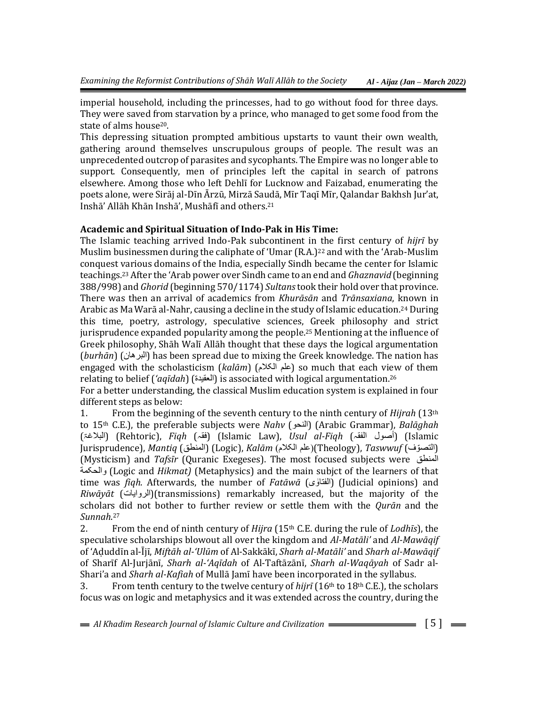imperial household, including the princesses, had to go without food for three days. They were saved from starvation by a prince, who managed to get some food from the state of alms house20.

This depressing situation prompted ambitious upstarts to vaunt their own wealth, gathering around themselves unscrupulous groups of people. The result was an unprecedented outcrop of parasites and sycophants. The Empire was no longer able to support. Consequently, men of principles left the capital in search of patrons elsewhere. Among those who left Dehlī for Lucknow and Faizabad, enumerating the poets alone, were Sirāj al-Dīn Ārzū, Mirzā Saudā, Mīr Taqī Mīr, Qalandar Bakhsh Jur'at, Inshā' Allāh Khān Inshā', Mushāfī and others.<sup>21</sup>

## **Academic and Spiritual Situation of Indo-Pak in His Time:**

The Islamic teaching arrived Indo-Pak subcontinent in the first century of *hijrī* by Muslim businessmen during the caliphate of 'Umar (R.A.)<sup>22</sup> and with the 'Arab-Muslim conquest various domains of the India, especially Sindh became the center for Islamic teachings.<sup>23</sup> After the 'Arab power over Sindh came to an end and *Ghaznavid* (beginning 388/998) and *Ghorid* (beginning 570/1174) *Sultans*took their hold over that province. There was then an arrival of academics from *Khurāsān* and *Trānsaxiana*, known in Arabic as Ma Warā al-Nahr, causing a decline in the study of Islamic education.<sup>24</sup> During this time, poetry, astrology, speculative sciences, Greek philosophy and strict jurisprudence expanded popularity among the people.<sup>25</sup> Mentioning at the influence of Greek philosophy, Shāh Walī Allāh thought that these days the logical argumentation (*burhān*) (البرهان) has been spread due to mixing the Greek knowledge. The nation has engaged with the scholasticism (*kalām*) (الکالم علم (so much that each view of them relating to belief (*'aqīdah*) (العقیدۃ (is associated with logical argumentation.<sup>26</sup>

For a better understanding, the classical Muslim education system is explained in four different steps as below:

1. From the beginning of the seventh century to the ninth century of *Hijrah* (13th to 15th C.E.), the preferable subjects were *Nahv* (النحو) (Arabic Grammar), *Balāghah*  (البالغۃ) (Rehtoric), *Fiqh* (فقہ) (Islamic Law), *Usul al-Fiqh* (الفقہ أصول) (Islamic Jurisprudence), *Mantiq* (المنطق) (Logic), *Kalām* )الکالم علم))Theology), *Taswwuf* (وفّالتص ( (Mysticism) and *Tafsīr* (Quranic Exegeses). The most focused subjects were المنطق والحکمة) Logic and *Hikmat)* (Metaphysics) and the main subjct of the learners of that time was *fiqh*. Afterwards, the number of *Fatāwā* (ویٰالفتا) (Judicial opinions) and *Riwāyāt* (الروایات)(transmissions) remarkably increased, but the majority of the scholars did not bother to further review or settle them with the *Qurān* and the *Sunnah*. 27

2. From the end of ninth century of *Hijra* (15th C.E. during the rule of *Lodhīs*), the speculative scholarships blowout all over the kingdom and *Al-Matāli'* and *Al-Mawāqif* of 'Aḍuddīn al-Ījī, *Miftāh al-'Ulūm* of Al-Sakkākī, *Sharh al-Matāli'* and *Sharh al-Mawāqif* of Sharīf Al-Jurjānī, *Sharh al-'Aqīdah* of Al-Taftāzānī, *Sharh al-Waqāyah* of Sadr al-Shari'a and *Sharh al-Kafiah* of Mullā Jamī have been incorporated in the syllabus.

3. From tenth century to the twelve century of *hijrī* (16th to 18th C.E.), the scholars focus was on logic and metaphysics and it was extended across the country, during the

*Al Khadim Research Journal of Islamic Culture and Civilization* [ 5 ]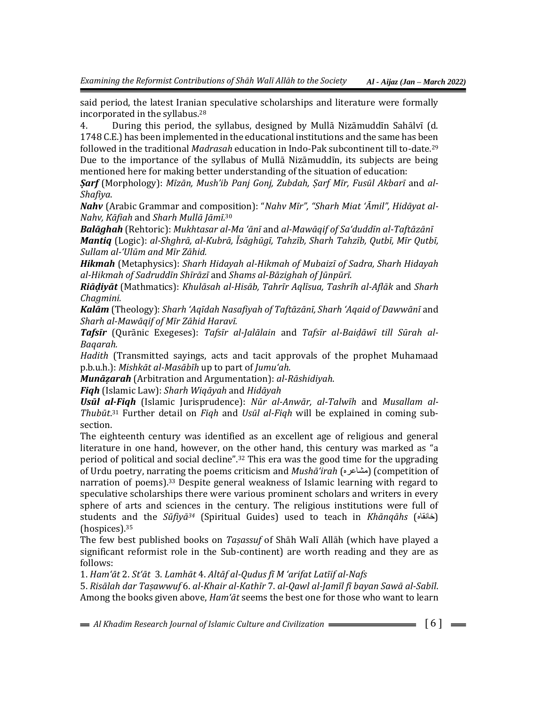said period, the latest Iranian speculative scholarships and literature were formally incorporated in the syllabus.<sup>28</sup>

4. During this period, the syllabus, designed by Mullā Nizāmuddīn Sahālvī (d. 1748 C.E.) has been implemented in the educational institutions and the same has been followed in the traditional *Madrasah* education in Indo-Pak subcontinent till to-date.<sup>29</sup> Due to the importance of the syllabus of Mullā Nizāmuddīn, its subjects are being mentioned here for making better understanding of the situation of education:

*Ṣarf* (Morphology): *Mīzān, Mush'ib Panj Gonj, Zubdah, Ṣarf Mīr, Fusūl Akbarī* and *al-Shafiya*.

*Nahv* (Arabic Grammar and composition): "*Nahv Mīr", "Sharh Miat 'Āmil", Hidāyat al-Nahv, Kāfiah* and *Sharh Mullā Jāmī*. 30

*Balāghah* (Rehtoric): *Mukhtasar al-Ma 'ānī* and *al-Mawāqif of Sa'duddīn al-Taftāzānī Mantiq* (Logic): *al-Shghrā, al-Kubrā, Īsāghūgī, Tahzīb, Sharh Tahzīb, Qutbī, Mīr Qutbī, Sullam al-'Ulūm and Mīr Zāhid.*

*Hikmah* (Metaphysics): *Sharh Hidayah al-Hikmah of Mubaizī of Sadra, Sharh Hidayah al-Hikmah of Sadruddīn Shīrāzī* and *Shams al-Bāzighah of Jūnpūrī.*

*Riāḍiyāt* (Mathmatics): *Khulāsah al-Hisāb, Tahrīr Aqlīsua, Tashrīh al-Aflāk* and *Sharh Chagmini.*

*Kalām* (Theology): *Sharh 'Aqīdah Nasafiyah of Taftāzānī, Sharh 'Aqaid of Dawwānī* and *Sharh al-Mawāqif of Mīr Zāhid Haravī.*

*Tafsīr* (Qurānic Exegeses): *Tafsīr al-Jalālain* and *Tafsīr al-Baiḍāwī till Sūrah al-Baqarah.*

*Hadith* (Transmitted sayings, acts and tacit approvals of the prophet Muhamaad p.b.u.h.): *Mishkāt al-Masābīh* up to part of *Jumu'ah*.

*Munāẓarah* (Arbitration and Argumentation): *al-Rāshidiyah*.

*Fiqh* (Islamic Law): *Sharh Wiqāyah* and *Hidāyah*

*Usūl al-Fiqh* (Islamic Jurisprudence): *Nūr al-Anwār, al-Talwīh* and *Musallam al-Thubūt*. <sup>31</sup> Further detail on *Fiqh* and *Usūl al-Fiqh* will be explained in coming subsection.

The eighteenth century was identified as an excellent age of religious and general literature in one hand, however, on the other hand, this century was marked as "a period of political and social decline".<sup>32</sup> This era was the good time for the upgrading of Urdu poetry, narrating the poems criticism and *Mushā'irah* (مشاعرہ) (competition of narration of poems).<sup>33</sup> Despite general weakness of Islamic learning with regard to speculative scholarships there were various prominent scholars and writers in every sphere of arts and sciences in the century. The religious institutions were full of students and the *Sūfiyā<sup>34</sup>* (Spiritual Guides) used to teach in *Khānqāhs* (خانقاہ ( (hospices).<sup>35</sup>

The few best published books on *Taṣassuf* of Shāh Walī Allāh (which have played a significant reformist role in the Sub-continent) are worth reading and they are as follows:

1. *Ham'āt* 2. *St'āt* 3. *Lamhāt* 4. *Altāf al-Qudus fī M 'arifat Latīif al-Nafs*

5. *Risālah dar Taṣawwuf* 6. *al-Khair al-Kathīr* 7. *al-Qawl al-Jamīl fī bayan Sawā al-Sabīl*. Among the books given above, *Ham'āt* seems the best one for those who want to learn

 $A$ *l Khadim Research Journal of Islamic Culture and Civilization*  $\frac{a}{a}$   $\frac{a}{a}$   $\frac{a}{a}$   $\frac{a}{a}$   $\frac{a}{a}$   $\frac{a}{a}$   $\frac{a}{a}$   $\frac{a}{a}$   $\frac{a}{a}$   $\frac{a}{a}$   $\frac{a}{a}$   $\frac{a}{a}$   $\frac{a}{a}$   $\frac{a}{a}$   $\frac{a}{a}$   $\frac{$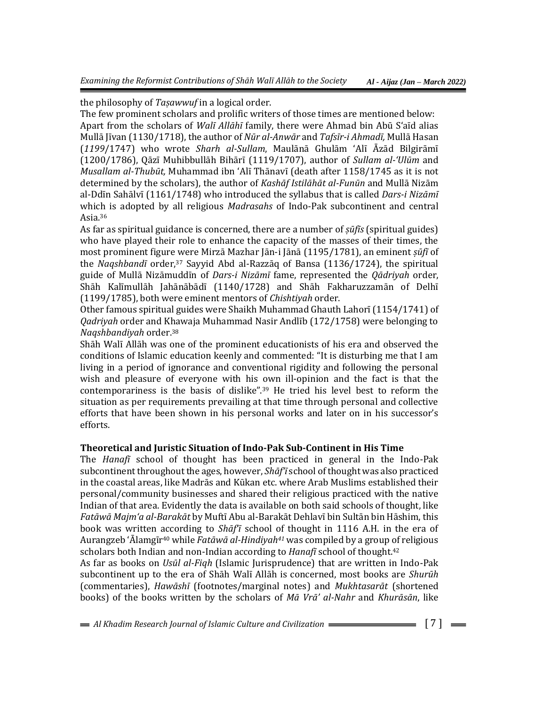the philosophy of *Taṣawwuf* in a logical order.

The few prominent scholars and prolific writers of those times are mentioned below: Apart from the scholars of *Walī Allāhī* family, there were Ahmad bin Abū S'aīd alias Mullā Jīvan (1130/1718), the author of *Nūr al-Anwār* and *Tafsīr-i Ahmadī,* Mullā Hasan (*1199*/1747) who wrote *Sharh al-Sullam*, Maulānā Ghulām 'Alī Āzād Bilgirāmī (1200/1786), Qāzī Muhibbullāh Bihārī (1119/1707), author of *Sullam al-'Ulūm* and *Musallam al-Thubūt,* Muhammad ibn 'Alī Thānavī (death after 1158/1745 as it is not determined by the scholars), the author of *Kashāf Istilāhāt al-Funūn* and Mullā Nizām al-Ddīn Sahālvī (1161/1748) who introduced the syllabus that is called *Dars-i Nizāmī* which is adopted by all religious *Madrasahs* of Indo-Pak subcontinent and central Asia.<sup>36</sup>

As far as spiritual guidance is concerned, there are a number of *ṣūfīs* (spiritual guides) who have played their role to enhance the capacity of the masses of their times, the most prominent figure were Mirzā Mazhar Jān-i Jānā (1195/1781), an eminent *ṣūfī* of the *Naqshbandī* order,<sup>37</sup> Sayyid Abd al-Razzāq of Bansa (1136/1724), the spiritual guide of Mullā Nizāmuddīn of *Dars-i Nizāmī* fame, represented the *Qādriyah* order, Shāh Kalīmullāh Jahānābādī (1140/1728) and Shāh Fakharuzzamān of Delhī (1199/1785), both were eminent mentors of *Chishtiyah* order.

Other famous spiritual guides were Shaikh Muhammad Ghauth Lahorī (1154/1741) of *Qadriyah* order and Khawaja Muhammad Nasir Andlīb (172/1758) were belonging to *Naqshbandiyah* order.<sup>38</sup>

Shāh Walī Allāh was one of the prominent educationists of his era and observed the conditions of Islamic education keenly and commented: "It is disturbing me that I am living in a period of ignorance and conventional rigidity and following the personal wish and pleasure of everyone with his own ill-opinion and the fact is that the contemporariness is the basis of dislike".<sup>39</sup> He tried his level best to reform the situation as per requirements prevailing at that time through personal and collective efforts that have been shown in his personal works and later on in his successor's efforts.

## **Theoretical and Juristic Situation of Indo-Pak Sub-Continent in His Time**

The *Hanafī* school of thought has been practiced in general in the Indo-Pak subcontinent throughout the ages, however, *Shāf'ī* school of thought was also practiced in the coastal areas, like Madrās and Kūkan etc. where Arab Muslims established their personal/community businesses and shared their religious practiced with the native Indian of that area. Evidently the data is available on both said schools of thought, like *Fatāwā Majm'a al-Barakāt* by Muftī Abu al-Barakāt Dehlavī bin Sultān bin Hāshim, this book was written according to *Shāf'ī* school of thought in 1116 A.H. in the era of Aurangzeb 'Ālamgīr<sup>40</sup> while *Fatāwā al-Hindiyah<sup>41</sup>* was compiled by a group of religious scholars both Indian and non-Indian according to *Hanafī* school of thought.<sup>42</sup>

As far as books on *Usūl al-Fiqh* (Islamic Jurisprudence) that are written in Indo-Pak subcontinent up to the era of Shāh Walī Allāh is concerned, most books are *Shurūh* (commentaries), *Hawāshī* (footnotes/marginal notes) and *Mukhtasarāt* (shortened books) of the books written by the scholars of *Mā Vrā' al-Nahr* and *Khurāsān*, like

 $=$  Al Khadim Research Journal of Islamic Culture and Civilization  $=$   $\equiv$   $\{7\}$  =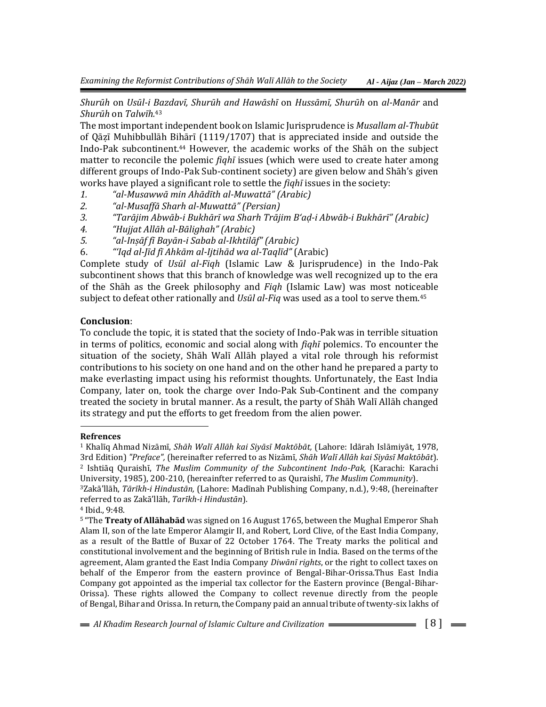*Shurūh* on *Usūl-i Bazdavī, Shurūh and Hawāshī* on *Hussāmī, Shurūh* on *al-Manār* and *Shurūh* on *Talwīh.*<sup>43</sup>

The most important independent book on Islamic Jurisprudence is *Musallam al-Thubūt* of Qāẓī Muhibbullāh Bihārī (1119/1707) that is appreciated inside and outside the Indo-Pak subcontinent.<sup>44</sup> However, the academic works of the Shāh on the subject matter to reconcile the polemic *fiqhī* issues (which were used to create hater among different groups of Indo-Pak Sub-continent society) are given below and Shāh's given works have played a significant role to settle the *fiqhī* issues in the society:

- *1. "al-Musawwā min Ahādīth al-Muwattā" (Arabic)*
- *2. "al-Musaffā Sharh al-Muwattā" (Persian)*
- *3. "Tarājim Abwāb-i Bukhārī wa Sharh Trājim B'aḍ-i Abwāb-i Bukhārī" (Arabic)*
- *4. "Hujjat Allāh al-Bālighah" (Arabic)*
- *5. "al-Inṣāf fī Bayān-i Sabab al-Ikhtilāf" (Arabic)*
- 6. *"'Iqd al-Jīd fī Ahkām al-Ijtihād wa al-Taqlīd"* (Arabic)

Complete study of *Usūl al-Fiqh* (Islamic Law & Jurisprudence) in the Indo-Pak subcontinent shows that this branch of knowledge was well recognized up to the era of the Shāh as the Greek philosophy and *Fiqh* (Islamic Law) was most noticeable subject to defeat other rationally and *Usūl al-Fiq* was used as a tool to serve them.<sup>45</sup>

#### **Conclusion**:

To conclude the topic, it is stated that the society of Indo-Pak was in terrible situation in terms of politics, economic and social along with *fiqhī* polemics. To encounter the situation of the society, Shāh Walī Allāh played a vital role through his reformist contributions to his society on one hand and on the other hand he prepared a party to make everlasting impact using his reformist thoughts. Unfortunately, the East India Company, later on, took the charge over Indo-Pak Sub-Continent and the company treated the society in brutal manner. As a result, the party of Shāh Walī Allāh changed its strategy and put the efforts to get freedom from the alien power.

#### **Refrences**

 $\overline{a}$ 

<sup>1</sup> Khalīq Ahmad Nizāmī, *Shāh Walī Allāh kai Siyāsī Maktōbāt,* (Lahore: Idārah Islāmiyāt, 1978, 3rd Edition) *"Preface",* (hereinafter referred to as Nizāmī, *Shāh Walī Allāh kai Siyāsī Maktōbāt*). <sup>2</sup> Ishtiāq Quraishī, *The Muslim Community of the Subcontinent Indo-Pak,* (Karachi: Karachi University, 1985), 200-210, (hereainfter referred to as Quraishī, *The Muslim Community*).

<sup>5</sup> "The **Treaty of Allāhabād** was signed on 16 August 1765, between the [Mughal](http://www.self.gutenberg.org/articles/eng/Mughal_Empire) Emperor [Shah](http://www.self.gutenberg.org/articles/eng/Shah_Alam_II) [Alam](http://www.self.gutenberg.org/articles/eng/Shah_Alam_II) II, son of the late Emperor [Alamgir](http://www.self.gutenberg.org/articles/eng/Alamgir_II) II, and [Robert,](http://www.self.gutenberg.org/articles/eng/Robert_Clive,_1st_Baron_Clive) Lord Clive, of the East India [Company,](http://www.self.gutenberg.org/articles/eng/East_India_Company)  as a result of the Battle of [Buxar](http://www.self.gutenberg.org/articles/eng/Battle_of_Buxar) of 22 October 1764. The Treaty marks the political and constitutional involvement and the beginning of British rule in India. Based on the terms of the agreement, Alam granted the East India Company *Diwānī rights*, or the right to collect taxes on behalf of the Emperor from the eastern province of Bengal-Bihar-Orissa.Thus East India Company got appointed as the imperial tax collector for the Eastern province (Bengal-Bihar-Orissa). These rights allowed the Company to collect revenue directly from the people of [Bengal,](http://www.self.gutenberg.org/articles/eng/Bengal) Bihar and [Orissa.](http://www.self.gutenberg.org/articles/eng/Orissa) In return, the Company paid an annual tribute of twenty-six [lakhs](http://www.self.gutenberg.org/articles/eng/Lakh) of

 $=$  Al Khadim Research Journal of Islamic Culture and Civilization  $=$   $\{8\}$   $=$ 

<sup>3</sup>Zakā'llāh, *Tārīkh-i Hindustān,* (Lahore: Madīnah Publishing Company, n.d.), 9:48, (hereinafter referred to as Zakā'llāh, *Tarīkh-i Hindustān*).

<sup>4</sup> Ibid., 9:48.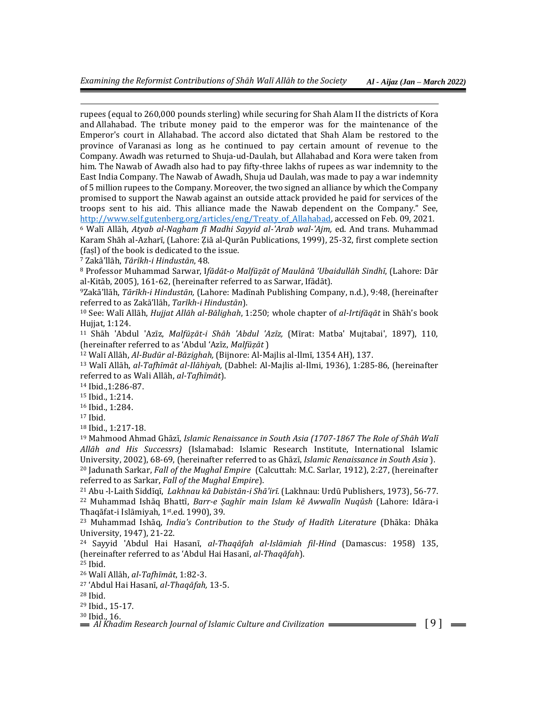rupees (equal to 260,000 pounds [sterling\)](http://www.self.gutenberg.org/articles/eng/Pound_sterling) while securing for Shah Alam II the districts of Kora and [Allahabad.](http://www.self.gutenberg.org/articles/eng/Allahabad) The tribute money paid to the emperor was for the maintenance of the Emperor's court in Allahabad. The accord also dictated that Shah Alam be restored to the province of [Varanasi](http://www.self.gutenberg.org/articles/eng/Varanasi) as long as he continued to pay certain amount of revenue to the Company. [Awadh](http://www.self.gutenberg.org/articles/eng/Awadh) was returned to [Shuja-ud-Daulah,](http://www.self.gutenberg.org/articles/eng/Shuja-ud-Daula) but Allahabad and Kora were taken from him. The Nawab of [Awadh](http://www.self.gutenberg.org/articles/eng/Nawab_of_Awadh) also had to pay fifty-three lakhs of rupees as war indemnity to the East India Company. The Nawab of Awadh, Shuja ud Daulah, was made to pay a war indemnity of 5 million rupees to the Company. Moreover, the two signed an alliance by which the Company promised to support the Nawab against an outside attack provided he paid for services of the troops sent to his aid. This alliance made the Nawab dependent on the Company." See, [http://www.self.gutenberg.org/articles/eng/Treaty\\_of\\_Allahabad,](http://www.self.gutenberg.org/articles/eng/Treaty_of_Allahabad) accessed on Feb. 09, 2021. <sup>6</sup> Walī Allāh, *Atyab al-Nagham fī Madhi Sayyid al-'Arab wal-'Ajm,* ed. And trans. Muhammad

Karam Shāh al-Azharī, (Lahore: Ẓiā al-Qurān Publications, 1999), 25-32, first complete section (faṣl) of the book is dedicated to the issue.

<sup>7</sup> Zakā'llāh, *Tārīkh-i Hindustān*, 48.

<sup>8</sup> Professor Muhammad Sarwar, I*fādāt-o Malfūẓāt of Maulānā 'Ubaidullāh Sindhī*, (Lahore: Dār al-Kitāb, 2005), 161-62, (hereinafter referred to as Sarwar, Ifādāt).

<sup>9</sup>Zakā'llāh, *Tārīkh-i Hindustān,* (Lahore: Madīnah Publishing Company, n.d.), 9:48, (hereinafter referred to as Zakā'llāh, *Tarīkh-i Hindustān*).

<sup>10</sup> See: Walī Allāh, *Hujjat Allāh al-Bālighah*, 1:250; whole chapter of *al-Irtifāqāt* in Shāh's book Hujjat, 1:124.

<sup>11</sup> Shāh 'Abdul 'Azīz, *Malfūẓāt-i Shāh 'Abdul 'Azīz,* (Mīrat: Matba' Mujtabai', 1897), 110, (hereinafter referred to as 'Abdul 'Azīz, *Malfūẓāt* )

<sup>12</sup> Walī Allāh, *Al-Budūr al-Bāzighah,* (Bijnore: Al-Majlis al-Ilmī, 1354 AH), 137.

<sup>13</sup> Walī Allāh, *al-Tafhīmāt al-Ilāhiyah,* (Dabhel: Al-Majlis al-Ilmi, 1936), 1:285-86, (hereinafter referred to as Wali Allāh, *al-Tafhīmāt*).

<sup>14</sup> Ibid.,1:286-87.

<sup>15</sup> Ibid., 1:214.

<sup>16</sup> Ibid., 1:284.

 $17$  Ibid.

 $\overline{a}$ 

<sup>18</sup> Ibid., 1:217-18.

<sup>19</sup> Mahmood Ahmad Ghāzī, *Islamic Renaissance in South Asia (1707-1867 The Role of Shāh Walī Allāh and His Successrs)* (Islamabad: Islamic Research Institute, International Islamic University, 2002), 68-69, (hereinafter referred to as Ghāzī, *Islamic Renaissance in South Asia* ). <sup>20</sup> Jadunath Sarkar, *Fall of the Mughal Empire* (Calcuttah: M.C. Sarlar, 1912), 2:27, (hereinafter

referred to as Sarkar, *Fall of the Mughal Empire*).

<sup>21</sup> Abu -l-Laith Siddīqī, *Lakhnau kā Dabistān-i Shā'irī.* (Lakhnau: Urdū Publishers, 1973), 56-77. <sup>22</sup> Muhammad Ishāq Bhattī, *Barr-e Ṣaghīr main Islam kē Awwalīn Nuqūsh* (Lahore: Idāra-i Thaqāfat-i Islāmiyah, 1st.ed. 1990), 39.

<sup>23</sup> Muhammad Ishāq, *India's Contribution to the Study of Hadīth Literature* (Dhāka: Dhāka University, 1947), 21-22.

<sup>24</sup> Sayyid 'Abdul Hai Hasanī, *al-Thaqāfah al-Islāmiah fil-Hind* (Damascus: 1958) 135, (hereinafter referred to as 'Abdul Hai Hasanī, *al-Thaqāfah*).

<sup>25</sup> Ibid.

<sup>26</sup> Walī Allāh, *al-Tafhīmāt*, 1:82-3.

<sup>27</sup> 'Abdul Hai Hasanī, *al-Thaqāfah,* 13-5.

<sup>28</sup> Ibid.

<sup>29</sup> Ibid., 15-17.

 $30$  Ihid  $16$ .

 $\hat{A} = \hat{A} \hat{A} \hat{B} \hat{B}$  *Al Khadim Research Journal of Islamic Culture and Civilization*  $\hat{B}$  =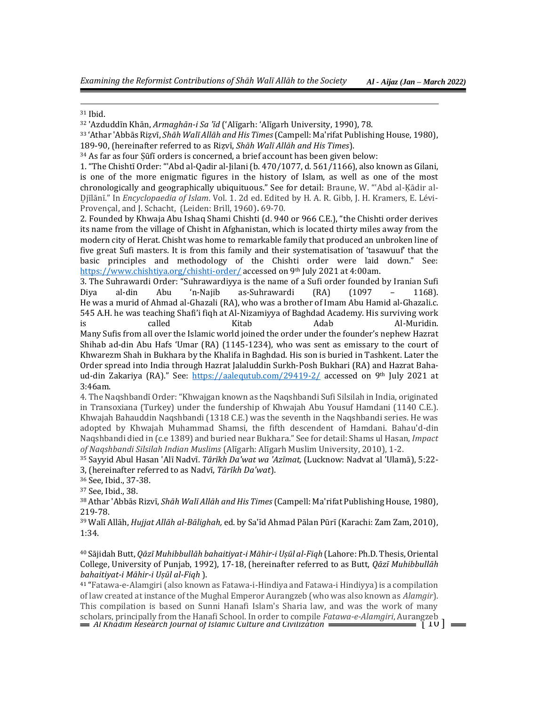<sup>31</sup> Ibid.

 $\overline{a}$ 

<sup>32</sup> 'Azduddīn Khān, *Armaghān-i Sa 'īd* ('Alīgarh: 'Alīgarh University, 1990), 78.

<sup>33</sup> 'Athar 'Abbās Riẓvī, *Shāh Walī Allāh and His Times*(Campell: Ma'rifat Publishing House, 1980), 189-90, (hereinafter referred to as Riẓvī, *Shāh Walī Allāh and His Times*).

 $34$  As far as four Sūfī orders is concerned, a brief account has been given below:

1. "The Chishtī Order: "ʿAbd al-Qadir al-Jilani (b. 470/1077, d. 561/1166), also known as Gilani, is one of the more enigmatic figures in the history of Islam, as well as one of the most chronologically and geographically ubiquituous." See for detail: Braune, W. "ʿAbd al-Ḳādir al-Ḏjīlānī." In *Encyclopaedia of Islam*. Vol. 1. 2d ed. Edited by H. A. R. Gibb, J. H. Kramers, E. Lévi-Provençal, and J. Schacht, (Leiden: Brill, 1960)**.** 69-70.

2. Founded by Khwaja Abu Ishaq Shami Chishti (d. 940 or 966 C.E.), "the Chishti order derives its name from the village of Chisht in Afghanistan, which is located thirty miles away from the modern city of Herat. Chisht was home to remarkable family that produced an unbroken line of five great Sufi masters. It is from this family and their systematisation of 'tasawuuf' that the basic principles and methodology of the Chishti order were laid down." See: <https://www.chishtiya.org/chishti-order/> accessed on 9<sup>th</sup> July 2021 at 4:00am.

3. The Suhrawardi Order: "Suhrawardiyya is the name of a Sufi order founded by Iranian Sufi Diya al-din Abu 'n-Najib as-Suhrawardi (RA) (1097 – 1168). He was a murid of Ahmad al-Ghazali (RA), who was a brother of Imam Abu Hamid al-Ghazali.c. 545 A.H. he was teaching Shafi'i fiqh at Al-Nizamiyya of Baghdad Academy. His surviving work is called Kitab Adab Al-Muridin. Many Sufis from all over the Islamic world joined the order under the founder's nephew Hazrat Shihab ad-din Abu Hafs 'Umar (RA) (1145-1234), who was sent as emissary to the court of Khwarezm Shah in Bukhara by the Khalifa in Baghdad. His son is buried in Tashkent. Later the Order spread into India through Hazrat Jalaluddin Surkh-Posh Bukhari (RA) and Hazrat Bahaud-din Zakariya (RA)." See: <https://aalequtub.com/29419-2/> accessed on 9<sup>th</sup> July 2021 at 3:46am.

4. The Naqshbandī Order: "Khwajgan known as the Naqshbandi Sufi Silsilah in India, originated in Transoxiana (Turkey) under the fundership of Khwajah Abu Yousuf Hamdani (1140 C.E.). Khwajah Bahauddin Naqshbandi (1318 C.E.) was the seventh in the Naqshbandi series. He was adopted by Khwajah Muhammad Shamsi, the fifth descendent of Hamdani. Bahau'd-din Naqshbandi died in (c.e 1389) and buried near Bukhara." See for detail: Shams ul Hasan, *Impact of Naqshbandi Silsilah Indian Muslims* (Alīgarh: Alīgarh Muslim University, 2010), 1-2.

<sup>35</sup> Sayyid Abul Hasan 'Alī Nadvī. *Tārīkh Da'wat wa 'Azīmat,* (Lucknow: Nadvat al 'Ulamā), 5:22- 3, (hereinafter referred to as Nadvī, *Tārīkh Da'wat*).

<sup>36</sup> See, Ibid., 37-38.

<sup>37</sup> See, Ibid., 38.

<sup>38</sup> Athar 'Abbās Rizvī, *Shāh Walī Allāh and His Times* (Campell: Ma'rifat Publishing House, 1980), 219-78.

<sup>39</sup> Walī Allāh, *Hujjat Allāh al-Bālighah,* ed. by Sa'īd Ahmad Pālan Pūrī (Karachi: Zam Zam, 2010), 1:34.

<sup>40</sup> Sājidah Butt, *Qāzī Muhibbullāh bahaitiyat-i Māhir-i Uṣūl al-Fiqh* (Lahore: Ph.D. Thesis, Oriental College, University of Punjab, 1992), 17-18, (hereinafter referred to as Butt, *Qāzī Muhibbullāh bahaitiyat-i Māhir-i Uṣūl al-Fiqh* ).

 $=$  Al Khadim Research Journal of Islamic Culture and Civilization  $=$   $\frac{10}{20}$   $\frac{10}{10}$  [ 10 ] <sup>41</sup> "Fatawa-e-Alamgiri (also known as Fatawa-i-Hindiya and Fatawa-i Hindiyya) is a compilation of law created at instance of the Mughal Emperor Aurangzeb (who was also known as *Alamgir*). This compilation is based on Sunni Hanafi Islam's Sharia law, and was the work of many scholars, principally from the Hanafi School. In order to compile *Fatawa-e-Alamgiri*, Aurangzeb